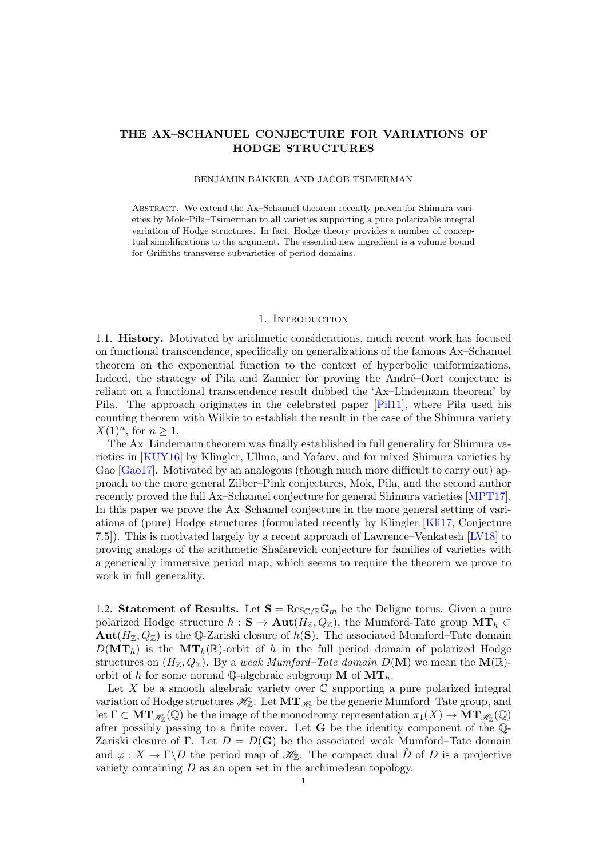# THE AX–SCHANUEL CONJECTURE FOR VARIATIONS OF HODGE STRUCTURES

### BENJAMIN BAKKER AND JACOB TSIMERMAN

Abstract. We extend the Ax–Schanuel theorem recently proven for Shimura varieties by Mok–Pila–Tsimerman to all varieties supporting a pure polarizable integral variation of Hodge structures. In fact, Hodge theory provides a number of conceptual simplifications to the argument. The essential new ingredient is a volume bound for Griffiths transverse subvarieties of period domains.

## 1. INTRODUCTION

1.1. History. Motivated by arithmetic considerations, much recent work has focused on functional transcendence, specifically on generalizations of the famous Ax–Schanuel theorem on the exponential function to the context of hyperbolic uniformizations. Indeed, the strategy of Pila and Zannier for proving the André–Oort conjecture is reliant on a functional transcendence result dubbed the 'Ax–Lindemann theorem' by Pila. The approach originates in the celebrated paper [\[Pil11\]](#page-12-0), where Pila used his counting theorem with Wilkie to establish the result in the case of the Shimura variety  $X(1)^n$ , for  $n \geq 1$ .

The Ax–Lindemann theorem was finally established in full generality for Shimura varieties in [\[KUY16\]](#page-12-1) by Klingler, Ullmo, and Yafaev, and for mixed Shimura varieties by Gao [\[Gao17\]](#page-12-2). Motivated by an analogous (though much more difficult to carry out) approach to the more general Zilber–Pink conjectures, Mok, Pila, and the second author recently proved the full Ax–Schanuel conjecture for general Shimura varieties [\[MPT17\]](#page-12-3). In this paper we prove the Ax–Schanuel conjecture in the more general setting of variations of (pure) Hodge structures (formulated recently by Klingler [\[Kli17,](#page-12-4) Conjecture 7.5]). This is motivated largely by a recent approach of Lawrence–Venkatesh [\[LV18\]](#page-12-5) to proving analogs of the arithmetic Shafarevich conjecture for families of varieties with a generically immersive period map, which seems to require the theorem we prove to work in full generality.

1.2. Statement of Results. Let  $S = \text{Res}_{\mathbb{C}/\mathbb{R}} \mathbb{G}_m$  be the Deligne torus. Given a pure polarized Hodge structure  $h : \mathbf{S} \to \text{Aut}(H_{\mathbb{Z}}, Q_{\mathbb{Z}})$ , the Mumford-Tate group  $\text{MT}_h \subset$  $\text{Aut}(H_{\mathbb{Z}}, Q_{\mathbb{Z}})$  is the Q-Zariski closure of  $h(S)$ . The associated Mumford–Tate domain  $D(\mathbf{MT}_h)$  is the  $\mathbf{MT}_h(\mathbb{R})$ -orbit of h in the full period domain of polarized Hodge structures on  $(H_Z, Q_Z)$ . By a weak Mumford–Tate domain  $D(\mathbf{M})$  we mean the  $\mathbf{M}(\mathbb{R})$ orbit of h for some normal Q-algebraic subgroup  $M$  of  $MT_h$ .

Let X be a smooth algebraic variety over  $\mathbb C$  supporting a pure polarized integral variation of Hodge structures  $\mathscr{H}_{\mathbb{Z}}.$  Let  $\mathbf{MT}_{\mathscr{H}_{\mathbb{Z}}}$  be the generic Mumford–Tate group, and let  $\Gamma \subset \mathbf{MT}_{\mathscr{H}_{\mathbb{Z}}}(\overline{\mathbb{Q}})$  be the image of the monodromy representation  $\pi_1(X) \to \mathbf{MT}_{\mathscr{H}_{\mathbb{Z}}}(\mathbb{Q})$ after possibly passing to a finite cover. Let G be the identity component of the Q-Zariski closure of Γ. Let  $D = D(G)$  be the associated weak Mumford–Tate domain and  $\varphi: X \to \Gamma \backslash D$  the period map of  $\mathscr{H}_{\mathbb{Z}}$ . The compact dual D of D is a projective variety containing D as an open set in the archimedean topology.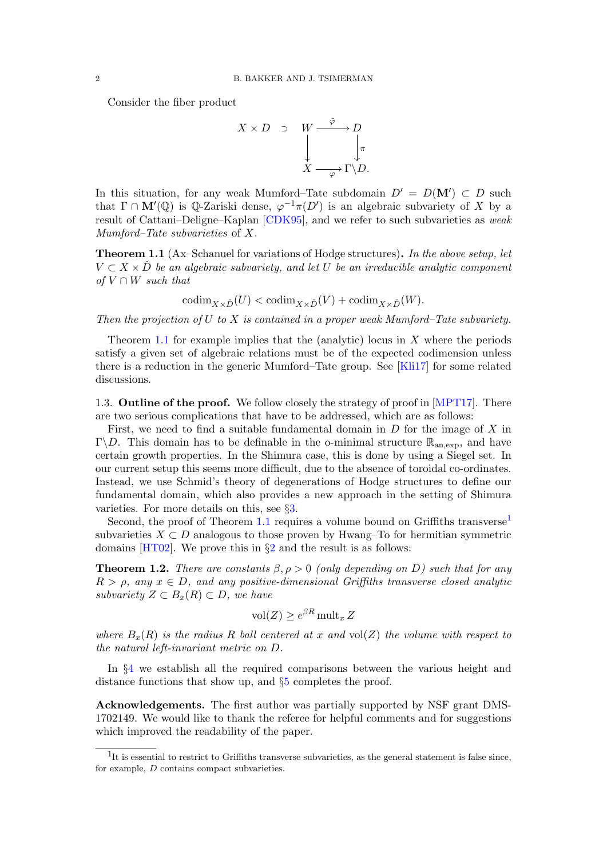Consider the fiber product



In this situation, for any weak Mumford–Tate subdomain  $D' = D(M') \subset D$  such that  $\Gamma \cap \mathbf{M}'(\mathbb{Q})$  is  $\mathbb{Q}$ -Zariski dense,  $\varphi^{-1}\pi(D')$  is an algebraic subvariety of X by a result of Cattani–Deligne–Kaplan [\[CDK95\]](#page-12-6), and we refer to such subvarieties as weak Mumford–Tate subvarieties of X.

<span id="page-1-0"></span>**Theorem 1.1** (Ax–Schanuel for variations of Hodge structures). In the above setup, let  $V \subset X \times D$  be an algebraic subvariety, and let U be an irreducible analytic component of  $V \cap W$  such that

 $\operatorname{codim}_{X\times \check{D}}(U) < \operatorname{codim}_{X\times \check{D}}(V) + \operatorname{codim}_{X\times \check{D}}(W).$ 

Then the projection of U to X is contained in a proper weak Mumford–Tate subvariety.

Theorem [1.1](#page-1-0) for example implies that the (analytic) locus in  $X$  where the periods satisfy a given set of algebraic relations must be of the expected codimension unless there is a reduction in the generic Mumford–Tate group. See [\[Kli17\]](#page-12-4) for some related discussions.

1.3. Outline of the proof. We follow closely the strategy of proof in [\[MPT17\]](#page-12-3). There are two serious complications that have to be addressed, which are as follows:

First, we need to find a suitable fundamental domain in  $D$  for the image of  $X$  in Γ\*D*. This domain has to be definable in the o-minimal structure  $\mathbb{R}_{\text{an,exp}}$ , and have certain growth properties. In the Shimura case, this is done by using a Siegel set. In our current setup this seems more difficult, due to the absence of toroidal co-ordinates. Instead, we use Schmid's theory of degenerations of Hodge structures to define our fundamental domain, which also provides a new approach in the setting of Shimura varieties. For more details on this, see §[3.](#page-7-0)

Second, the proof of Theorem [1.1](#page-1-0) requires a volume bound on Griffiths transverse<sup>[1](#page-1-1)</sup> subvarieties  $X \subset D$  analogous to those proven by Hwang–To for hermitian symmetric domains  $[HT02]$  $[HT02]$  $[HT02]$ . We prove this in  $\S2$  and the result is as follows:

<span id="page-1-2"></span>**Theorem 1.2.** There are constants  $\beta$ ,  $\rho > 0$  (only depending on D) such that for any  $R > \rho$ , any  $x \in D$ , and any positive-dimensional Griffiths transverse closed analytic subvariety  $Z \subset B_x(R) \subset D$ , we have

$$
\text{vol}(Z) \ge e^{\beta R} \text{ mult}_x Z
$$

where  $B_x(R)$  is the radius R ball centered at x and vol(Z) the volume with respect to the natural left-invariant metric on D.

In §[4](#page-8-0) we establish all the required comparisons between the various height and distance functions that show up, and §[5](#page-10-0) completes the proof.

Acknowledgements. The first author was partially supported by NSF grant DMS-1702149. We would like to thank the referee for helpful comments and for suggestions which improved the readability of the paper.

<span id="page-1-1"></span><sup>&</sup>lt;sup>1</sup>It is essential to restrict to Griffiths transverse subvarieties, as the general statement is false since, for example, D contains compact subvarieties.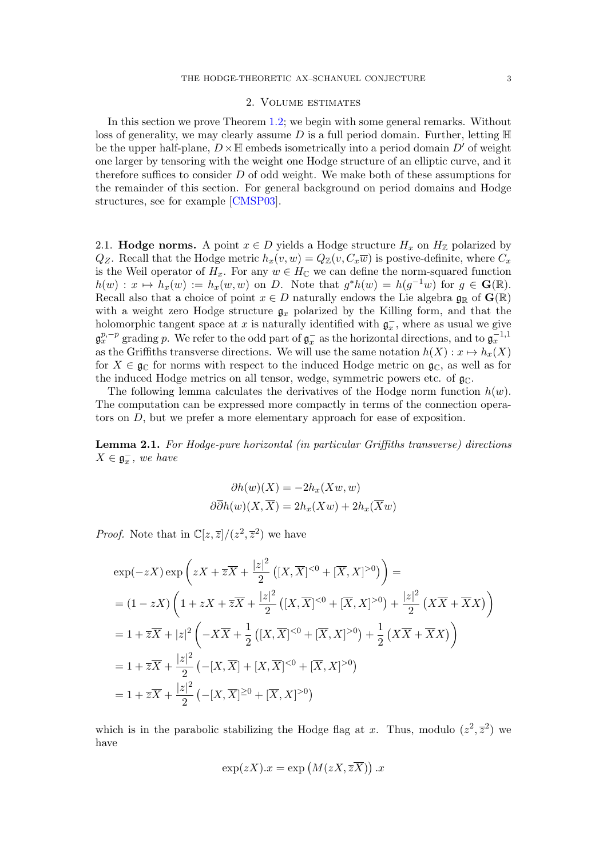## 2. Volume estimates

<span id="page-2-0"></span>In this section we prove Theorem [1.2;](#page-1-2) we begin with some general remarks. Without loss of generality, we may clearly assume D is a full period domain. Further, letting  $\mathbb H$ be the upper half-plane,  $D\times\mathbb{H}$  embeds isometrically into a period domain  $D'$  of weight one larger by tensoring with the weight one Hodge structure of an elliptic curve, and it therefore suffices to consider D of odd weight. We make both of these assumptions for the remainder of this section. For general background on period domains and Hodge structures, see for example [\[CMSP03\]](#page-12-8).

2.1. **Hodge norms.** A point  $x \in D$  yields a Hodge structure  $H_x$  on  $H_{\mathbb{Z}}$  polarized by  $Q_Z$ . Recall that the Hodge metric  $h_x(v, w) = Q_{\mathbb{Z}}(v, C_x \overline{w})$  is postive-definite, where  $C_x$ is the Weil operator of  $H_x$ . For any  $w \in H_{\mathbb{C}}$  we can define the norm-squared function  $h(w) : x \mapsto h_x(w) := h_x(w, w)$  on D. Note that  $g^*h(w) = h(g^{-1}w)$  for  $g \in \mathbf{G}(\mathbb{R})$ . Recall also that a choice of point  $x \in D$  naturally endows the Lie algebra  $\mathfrak{g}_{\mathbb{R}}$  of  $\mathbf{G}(\mathbb{R})$ with a weight zero Hodge structure  $g_x$  polarized by the Killing form, and that the holomorphic tangent space at x is naturally identified with  $\mathfrak{g}_x^-$ , where as usual we give  $\mathfrak{g}_x^{p,-p}$  grading p. We refer to the odd part of  $\mathfrak{g}_x^-$  as the horizontal directions, and to  $\mathfrak{g}_x^{-1,1}$ as the Griffiths transverse directions. We will use the same notation  $h(X) : x \mapsto h_x(X)$ for  $X \in \mathfrak{g}_{\mathbb{C}}$  for norms with respect to the induced Hodge metric on  $\mathfrak{g}_{\mathbb{C}}$ , as well as for the induced Hodge metrics on all tensor, wedge, symmetric powers etc. of  $\mathfrak{g}_{\mathbb{C}}$ .

The following lemma calculates the derivatives of the Hodge norm function  $h(w)$ . The computation can be expressed more compactly in terms of the connection operators on D, but we prefer a more elementary approach for ease of exposition.

<span id="page-2-1"></span>Lemma 2.1. For Hodge-pure horizontal (in particular Griffiths transverse) directions  $X \in \mathfrak{g}_x^-$ , we have

$$
\partial h(w)(X) = -2h_x(Xw, w)
$$
  

$$
\partial \overline{\partial}h(w)(X, \overline{X}) = 2h_x(Xw) + 2h_x(\overline{X}w)
$$

*Proof.* Note that in  $\mathbb{C}[z,\overline{z}]/(z^2,\overline{z}^2)$  we have

$$
\exp(-zX)\exp\left(zX + \overline{z}\overline{X} + \frac{|z|^2}{2}\left([X,\overline{X}]^{<0} + [\overline{X},X]^{>0}\right)\right) =
$$
\n
$$
= (1 - zX)\left(1 + zX + \overline{z}\overline{X} + \frac{|z|^2}{2}\left([X,\overline{X}]^{<0} + [\overline{X},X]^{>0}\right) + \frac{|z|^2}{2}\left(X\overline{X} + \overline{X}X\right)\right)
$$
\n
$$
= 1 + \overline{z}\overline{X} + |z|^2\left(-X\overline{X} + \frac{1}{2}\left([X,\overline{X}]^{<0} + [\overline{X},X]^{>0}\right) + \frac{1}{2}\left(X\overline{X} + \overline{X}X\right)\right)
$$
\n
$$
= 1 + \overline{z}\overline{X} + \frac{|z|^2}{2}\left(-[X,\overline{X}] + [X,\overline{X}]^{<0} + [\overline{X},X]^{>0}\right)
$$
\n
$$
= 1 + \overline{z}\overline{X} + \frac{|z|^2}{2}\left(-[X,\overline{X}]^{>0} + [\overline{X},X]^{>0}\right)
$$

which is in the parabolic stabilizing the Hodge flag at x. Thus, modulo  $(z^2, \overline{z}^2)$  we have

$$
\exp(zX).x = \exp\left(M(zX,\overline{zX})\right).x
$$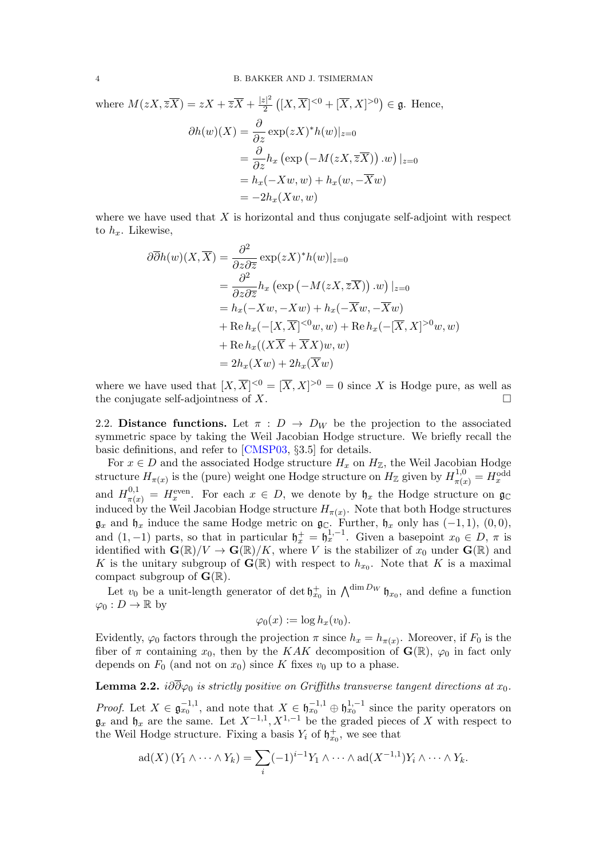where  $M(zX,\overline{zX})=zX+\overline{zX}+\frac{|z|^2}{2}$  $\frac{z|^2}{2}([X,\overline{X}]^{<0}+[\overline{X},X]^{>0}) \in \mathfrak{g}$ . Hence,

$$
\partial h(w)(X) = \frac{\partial}{\partial z} \exp(zX)^* h(w)|_{z=0}
$$
  
=  $\frac{\partial}{\partial z} h_x \left( \exp(-M(zX, \overline{zX})) \cdot w \right)|_{z=0}$   
=  $h_x(-Xw, w) + h_x(w, -\overline{X}w)$   
=  $-2h_x(Xw, w)$ 

where we have used that  $X$  is horizontal and thus conjugate self-adjoint with respect to  $h_x$ . Likewise,

$$
\partial \overline{\partial}h(w)(X,\overline{X}) = \frac{\partial^2}{\partial z \partial \overline{z}} \exp(zX)^* h(w)|_{z=0}
$$
  
= 
$$
\frac{\partial^2}{\partial z \partial \overline{z}} h_x \left( \exp(-M(zX,\overline{z}\overline{X})) . w \right)|_{z=0}
$$
  
= 
$$
h_x(-Xw, -Xw) + h_x(-\overline{X}w, -\overline{X}w)
$$
  
+ Re 
$$
h_x(-[X,\overline{X}]^{<0}w, w) + \text{Re } h_x(-[\overline{X},X]^{>0}w, w)
$$
  
+ Re 
$$
h_x((X\overline{X} + \overline{X}X)w, w)
$$
  
= 
$$
2h_x(Xw) + 2h_x(\overline{X}w)
$$

where we have used that  $[X,\overline{X}]^{<0} = [\overline{X},X]^{>0} = 0$  since X is Hodge pure, as well as the conjugate self-adjointness of  $X$ .

2.2. Distance functions. Let  $\pi : D \to D_W$  be the projection to the associated symmetric space by taking the Weil Jacobian Hodge structure. We briefly recall the basic definitions, and refer to [\[CMSP03,](#page-12-8) §3.5] for details.

For  $x \in D$  and the associated Hodge structure  $H_x$  on  $H_{\mathbb{Z}}$ , the Weil Jacobian Hodge structure  $H_{\pi(x)}$  is the (pure) weight one Hodge structure on  $H_{\mathbb{Z}}$  given by  $H_{\pi(x)}^{1,0} = H_x^{\text{odd}}$ and  $H_{\pi(x)}^{0,1} = H_x^{\text{even}}$ . For each  $x \in D$ , we denote by  $\mathfrak{h}_x$  the Hodge structure on  $\mathfrak{g}_\mathbb{C}$ induced by the Weil Jacobian Hodge structure  $H_{\pi(x)}$ . Note that both Hodge structures  $\mathfrak{g}_x$  and  $\mathfrak{h}_x$  induce the same Hodge metric on  $\mathfrak{g}_\mathbb{C}$ . Further,  $\mathfrak{h}_x$  only has  $(-1,1)$ ,  $(0,0)$ , and  $(1, -1)$  parts, so that in particular  $\mathfrak{h}_x^+ = \mathfrak{h}_x^{1,-1}$ . Given a basepoint  $x_0 \in D$ ,  $\pi$  is identified with  $\mathbf{G}(\mathbb{R})/V \to \mathbf{G}(\mathbb{R})/K$ , where V is the stabilizer of  $x_0$  under  $\mathbf{G}(\mathbb{R})$  and K is the unitary subgroup of  $\mathbf{G}(\mathbb{R})$  with respect to  $h_{x_0}$ . Note that K is a maximal compact subgroup of  $\mathbf{G}(\mathbb{R})$ .

Let  $v_0$  be a unit-length generator of det  $\mathfrak{h}_{x_0}^+$  in  $\bigwedge^{\dim D_W} \mathfrak{h}_{x_0}$ , and define a function  $\varphi_0: D \to \mathbb{R}$  by

$$
\varphi_0(x) := \log h_x(v_0).
$$

Evidently,  $\varphi_0$  factors through the projection  $\pi$  since  $h_x = h_{\pi(x)}$ . Moreover, if  $F_0$  is the fiber of  $\pi$  containing  $x_0$ , then by the KAK decomposition of  $\mathbf{G}(\mathbb{R})$ ,  $\varphi_0$  in fact only depends on  $F_0$  (and not on  $x_0$ ) since K fixes  $v_0$  up to a phase.

# <span id="page-3-0"></span>**Lemma 2.2.** i∂ $\overline{\partial}\varphi_0$  is strictly positive on Griffiths transverse tangent directions at  $x_0$ .

*Proof.* Let  $X \in \mathfrak{g}_{x_0}^{-1,1}$ , and note that  $X \in \mathfrak{h}_{x_0}^{-1,1} \oplus \mathfrak{h}_{x_0}^{1,-1}$  since the parity operators on  $\mathfrak{g}_x$  and  $\mathfrak{h}_x$  are the same. Let  $X^{-1,1}, X^{1,-1}$  be the graded pieces of X with respect to the Weil Hodge structure. Fixing a basis  $Y_i$  of  $\mathfrak{h}_{x_0}^+$ , we see that

$$
ad(X) (Y_1 \wedge \cdots \wedge Y_k) = \sum_i (-1)^{i-1} Y_1 \wedge \cdots \wedge ad(X^{-1,1}) Y_i \wedge \cdots \wedge Y_k.
$$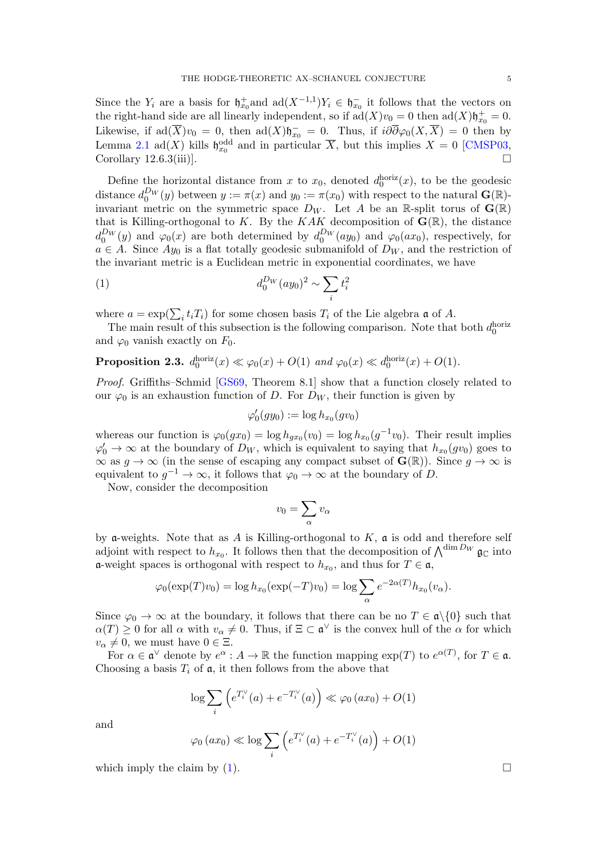Since the  $Y_i$  are a basis for  $\mathfrak{h}_{x_0}^+$  and  $ad(X^{-1,1})Y_i \in \mathfrak{h}_{x_0}^-$  it follows that the vectors on the right-hand side are all linearly independent, so if  $ad(X)v_0 = 0$  then  $ad(X)\mathfrak{h}_{x_0}^+ = 0$ . Likewise, if  $ad(\overline{X})v_0 = 0$ , then  $ad(X)\mathfrak{h}_{x_0}^- = 0$ . Thus, if  $i\partial\overline{\partial}\varphi_0(X,\overline{X}) = 0$  then by Lemma [2.1](#page-2-1) ad(X) kills  $\mathfrak{h}_{x_0}^{\text{odd}}$  and in particular  $\overline{X}$ , but this implies  $X = 0$  [\[CMSP03,](#page-12-8) Corollary 12.6.3(iii).

Define the horizontal distance from x to  $x_0$ , denoted  $d_0^{\text{horiz}}(x)$ , to be the geodesic distance  $d_0^{D_W}(y)$  between  $y := \pi(x)$  and  $y_0 := \pi(x_0)$  with respect to the natural  $\mathbf{G}(\mathbb{R})$ invariant metric on the symmetric space  $D_W$ . Let A be an R-split torus of  $\mathbf{G}(\mathbb{R})$ that is Killing-orthogonal to K. By the KAK decomposition of  $\mathbf{G}(\mathbb{R})$ , the distance  $d_0^{D_W}(y)$  and  $\varphi_0(x)$  are both determined by  $d_0^{D_W}(ay_0)$  and  $\varphi_0(ax_0)$ , respectively, for  $a \in A$ . Since  $Ay_0$  is a flat totally geodesic submanifold of  $D_W$ , and the restriction of the invariant metric is a Euclidean metric in exponential coordinates, we have

(1) 
$$
d_0^{D_W}(ay_0)^2 \sim \sum_i t_i^2
$$

where  $a = \exp(\sum_i t_i T_i)$  for some chosen basis  $T_i$  of the Lie algebra  $\mathfrak a$  of A.

The main result of this subsection is the following comparison. Note that both  $d_0^{\text{horiz}}$ and  $\varphi_0$  vanish exactly on  $F_0$ .

<span id="page-4-1"></span>**Proposition 2.3.** 
$$
d_0^{\text{horiz}}(x) \ll \varphi_0(x) + O(1)
$$
 and  $\varphi_0(x) \ll d_0^{\text{horiz}}(x) + O(1)$ .

Proof. Griffiths–Schmid [\[GS69,](#page-12-9) Theorem 8.1] show that a function closely related to our  $\varphi_0$  is an exhaustion function of D. For  $D_W$ , their function is given by

<span id="page-4-0"></span>
$$
\varphi_0'(gy_0):=\log h_{x_0}(gv_0)
$$

whereas our function is  $\varphi_0(gx_0) = \log h_{gx_0}(v_0) = \log h_{x_0}(g^{-1}v_0)$ . Their result implies  $\varphi'_0 \to \infty$  at the boundary of  $D_W$ , which is equivalent to saying that  $h_{x_0}(gv_0)$  goes to  $\infty$  as  $g \to \infty$  (in the sense of escaping any compact subset of  $\mathbf{G}(\mathbb{R})$ ). Since  $g \to \infty$  is equivalent to  $g^{-1} \to \infty$ , it follows that  $\varphi_0 \to \infty$  at the boundary of D.

Now, consider the decomposition

$$
v_0=\sum_\alpha v_\alpha
$$

by **a**-weights. Note that as A is Killing-orthogonal to  $K$ , **a** is odd and therefore self adjoint with respect to  $h_{x_0}$ . It follows then that the decomposition of  $\bigwedge^{\dim D_W} \mathfrak{g}_{\mathbb{C}}$  into **a**-weight spaces is orthogonal with respect to  $h_{x_0}$ , and thus for  $T \in \mathfrak{a}$ ,

$$
\varphi_0(\exp(T)v_0) = \log h_{x_0}(\exp(-T)v_0) = \log \sum_{\alpha} e^{-2\alpha(T)} h_{x_0}(v_{\alpha}).
$$

Since  $\varphi_0 \to \infty$  at the boundary, it follows that there can be no  $T \in \mathfrak{a}\backslash\{0\}$  such that  $\alpha(T) \geq 0$  for all  $\alpha$  with  $v_{\alpha} \neq 0$ . Thus, if  $\Xi \subset \mathfrak{a}^{\vee}$  is the convex hull of the  $\alpha$  for which  $v_{\alpha} \neq 0$ , we must have  $0 \in \Xi$ .

For  $\alpha \in \mathfrak{a}^{\vee}$  denote by  $e^{\alpha}: A \to \mathbb{R}$  the function mapping  $\exp(T)$  to  $e^{\alpha(T)}$ , for  $T \in \mathfrak{a}$ . Choosing a basis  $T_i$  of  $\mathfrak{a}$ , it then follows from the above that

$$
\log \sum_{i} \left( e^{T_i^{\vee}}(a) + e^{-T_i^{\vee}}(a) \right) \ll \varphi_0 (ax_0) + O(1)
$$

and

$$
\varphi_0(ax_0) \ll \log \sum_i \left( e^{T_i^{\vee}}(a) + e^{-T_i^{\vee}}(a) \right) + O(1)
$$

which imply the claim by  $(1)$ .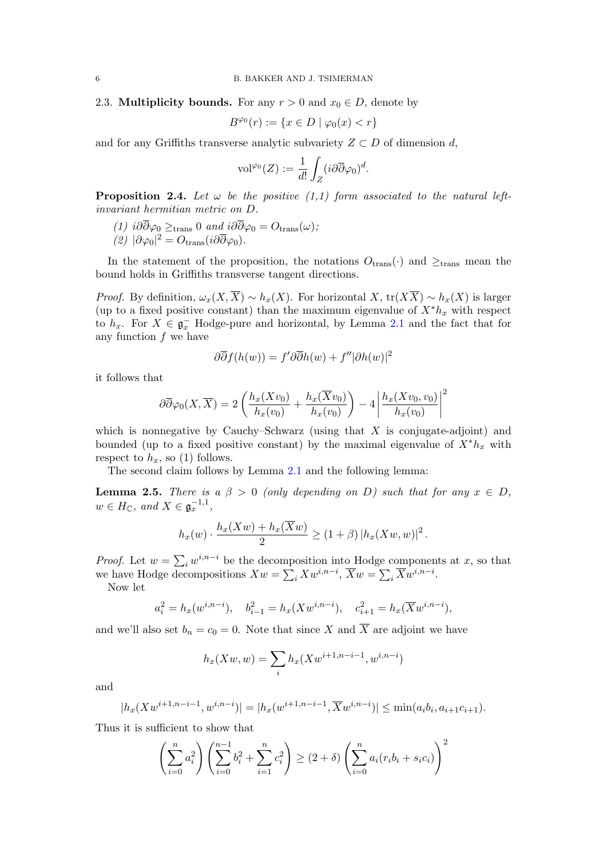2.3. Multiplicity bounds. For any  $r > 0$  and  $x_0 \in D$ , denote by

$$
B^{\varphi_0}(r) := \{ x \in D \mid \varphi_0(x) < r \}
$$

and for any Griffiths transverse analytic subvariety  $Z \subset D$  of dimension d,

$$
\text{vol}^{\varphi_0}(Z) := \frac{1}{d!} \int_Z (i \partial \overline{\partial} \varphi_0)^d.
$$

<span id="page-5-1"></span>**Proposition 2.4.** Let  $\omega$  be the positive (1,1) form associated to the natural leftinvariant hermitian metric on D.

<span id="page-5-2"></span>(1)  $i\partial\overline{\partial}\varphi_0 \geq_{\text{trans}} 0$  and  $i\partial\overline{\partial}\varphi_0 = O_{\text{trans}}(\omega);$ (2)  $|\partial \varphi_0|^2 = O_{\text{trans}}(i\partial \overline{\partial} \varphi_0)$ .

In the statement of the proposition, the notations  $O_{\text{trans}}(\cdot)$  and  $\geq_{\text{trans}}$  mean the bound holds in Griffiths transverse tangent directions.

*Proof.* By definition,  $\omega_x(X,\overline{X}) \sim h_x(X)$ . For horizontal X, tr( $X\overline{X}$ ) ∼  $h_x(X)$  is larger (up to a fixed positive constant) than the maximum eigenvalue of  $X^*h_x$  with respect to  $h_x$ . For  $X \in \mathfrak{g}_x^-$  Hodge-pure and horizontal, by Lemma [2.1](#page-2-1) and the fact that for any function  $f$  we have

$$
\partial \overline{\partial} f(h(w)) = f' \partial \overline{\partial} h(w) + f'' |\partial h(w)|^2
$$

it follows that

$$
\partial \overline{\partial} \varphi_0(X, \overline{X}) = 2 \left( \frac{h_x(Xv_0)}{h_x(v_0)} + \frac{h_x(\overline{X}v_0)}{h_x(v_0)} \right) - 4 \left| \frac{h_x(Xv_0, v_0)}{h_x(v_0)} \right|^2
$$

which is nonnegative by Cauchy–Schwarz (using that  $X$  is conjugate-adjoint) and bounded (up to a fixed positive constant) by the maximal eigenvalue of  $X^*h_x$  with respect to  $h_x$ , so (1) follows.

The second claim follows by Lemma [2.1](#page-2-1) and the following lemma:

<span id="page-5-0"></span>**Lemma 2.5.** There is a  $\beta > 0$  (only depending on D) such that for any  $x \in D$ ,  $w \in H_{\mathbb{C}}$ , and  $X \in \mathfrak{g}_x^{-1,1}$ ,

$$
h_x(w) \cdot \frac{h_x(Xw) + h_x(\overline{X}w)}{2} \ge (1+\beta) |h_x(Xw,w)|^2.
$$

*Proof.* Let  $w = \sum_i w^{i,n-i}$  be the decomposition into Hodge components at x, so that we have Hodge decompositions  $Xw = \sum_i Xw^{i,n-i}$ ,  $\overline{X}w = \sum_i \overline{X}w^{i,n-i}$ .

Now let

$$
a_i^2 = h_x(w^{i,n-i}),
$$
  $b_{i-1}^2 = h_x(Xw^{i,n-i}),$   $c_{i+1}^2 = h_x(\overline{X}w^{i,n-i}),$ 

and we'll also set  $b_n = c_0 = 0$ . Note that since X and  $\overline{X}$  are adjoint we have

$$
h_x(Xw, w) = \sum_{i} h_x(Xw^{i+1, n-i-1}, w^{i, n-i})
$$

and

$$
|h_x(Xw^{i+1,n-i-1},w^{i,n-i})| = |h_x(w^{i+1,n-i-1},\overline{X}w^{i,n-i})| \le \min(a_ib_i,a_{i+1}c_{i+1}).
$$

Thus it is sufficient to show that

$$
\left(\sum_{i=0}^{n} a_i^2\right) \left(\sum_{i=0}^{n-1} b_i^2 + \sum_{i=1}^{n} c_i^2\right) \ge (2+\delta) \left(\sum_{i=0}^{n} a_i (r_i b_i + s_i c_i)\right)^2
$$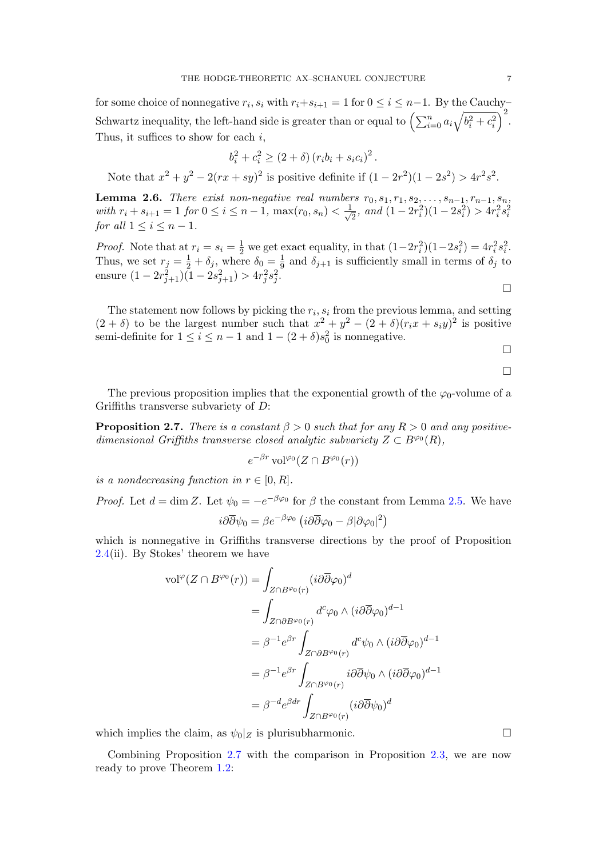for some choice of nonnegative  $r_i$ ,  $s_i$  with  $r_i+s_{i+1}=1$  for  $0 \le i \le n-1$ . By the Cauchy-Schwartz inequality, the left-hand side is greater than or equal to  $\left(\sum_{i=0}^n a_i\sqrt{b_i^2+c_i^2}\right)^2$ . Thus, it suffices to show for each  $i$ ,

$$
b_i^2 + c_i^2 \ge (2 + \delta) (r_i b_i + s_i c_i)^2
$$
.

Note that  $x^2 + y^2 - 2(rx + sy)^2$  is positive definite if  $(1 - 2r^2)(1 - 2s^2) > 4r^2s^2$ .

**Lemma 2.6.** There exist non-negative real numbers  $r_0, s_1, r_1, s_2, \ldots, s_{n-1}, r_{n-1}, s_n$ with  $r_i + s_{i+1} = 1$  for  $0 \le i \le n-1$ ,  $\max(r_0, s_n) < \frac{1}{\sqrt{n}}$  $\frac{1}{2}$ , and  $(1-2r_i^2)(1-2s_i^2) > 4r_i^2s_i^2$ for all  $1 \leq i \leq n-1$ .

*Proof.* Note that at  $r_i = s_i = \frac{1}{2}$  we get exact equality, in that  $(1-2r_i^2)(1-2s_i^2) = 4r_i^2s_i^2$ . Thus, we set  $r_j = \frac{1}{2} + \delta_j$ , where  $\delta_0 = \frac{1}{9}$  $\frac{1}{9}$  and  $\delta_{j+1}$  is sufficiently small in terms of  $\delta_j$  to ensure  $(1 - 2r_{j+1}^2)(1 - 2s_{j+1}^2) > 4r_j^2s_j^2$ .  $\Box$ 

The statement now follows by picking the  $r_i$ ,  $s_i$  from the previous lemma, and setting  $(2 + \delta)$  to be the largest number such that  $x^2 + y^2 - (2 + \delta)(r_i x + s_i y)^2$  is positive semi-definite for  $1 \leq i \leq n-1$  and  $1-(2+\delta)s_0^2$  is nonnegative.

 $\Box$ 

$$
\Box
$$

The previous proposition implies that the exponential growth of the  $\varphi_0$ -volume of a Griffiths transverse subvariety of D:

<span id="page-6-0"></span>**Proposition 2.7.** There is a constant  $\beta > 0$  such that for any  $R > 0$  and any positivedimensional Griffiths transverse closed analytic subvariety  $Z \subset B^{\varphi_0}(R)$ ,

$$
e^{-\beta r}\operatorname{vol}^{\varphi_0}(Z\cap B^{\varphi_0}(r))
$$

is a nondecreasing function in  $r \in [0, R]$ .

*Proof.* Let  $d = \dim Z$ . Let  $\psi_0 = -e^{-\beta \varphi_0}$  for  $\beta$  the constant from Lemma [2.5.](#page-5-0) We have

$$
i\partial\overline{\partial}\psi_0 = \beta e^{-\beta\varphi_0} \left( i\partial\overline{\partial}\varphi_0 - \beta |\partial\varphi_0|^2 \right)
$$

which is nonnegative in Griffiths transverse directions by the proof of Proposition [2.4\(](#page-5-1)ii). By Stokes' theorem we have

$$
\begin{split} \text{vol}^{\varphi}(Z \cap B^{\varphi_0}(r)) &= \int_{Z \cap B^{\varphi_0}(r)} (i \partial \overline{\partial} \varphi_0)^d \\ &= \int_{Z \cap \partial B^{\varphi_0}(r)} d^c \varphi_0 \wedge (i \partial \overline{\partial} \varphi_0)^{d-1} \\ &= \beta^{-1} e^{\beta r} \int_{Z \cap \partial B^{\varphi_0}(r)} d^c \psi_0 \wedge (i \partial \overline{\partial} \varphi_0)^{d-1} \\ &= \beta^{-1} e^{\beta r} \int_{Z \cap B^{\varphi_0}(r)} i \partial \overline{\partial} \psi_0 \wedge (i \partial \overline{\partial} \varphi_0)^{d-1} \\ &= \beta^{-d} e^{\beta dr} \int_{Z \cap B^{\varphi_0}(r)} (i \partial \overline{\partial} \psi_0)^d \end{split}
$$

which implies the claim, as  $\psi_0|_Z$  is plurisubharmonic.

Combining Proposition [2.7](#page-6-0) with the comparison in Proposition [2.3,](#page-4-1) we are now ready to prove Theorem [1.2:](#page-1-2)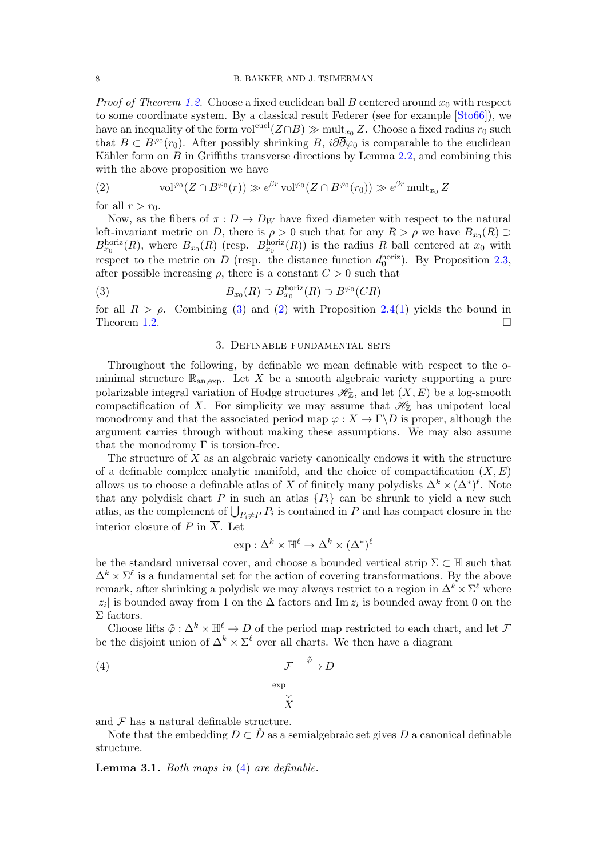*Proof of Theorem [1.2.](#page-1-2)* Choose a fixed euclidean ball B centered around  $x_0$  with respect to some coordinate system. By a classical result Federer (see for example [\[Sto66\]](#page-12-10)), we have an inequality of the form vol<sup>eucl</sup> $(Z \cap B) \gg \text{mult}_{x_0} Z$ . Choose a fixed radius  $r_0$  such that  $B \subset B^{\varphi_0}(r_0)$ . After possibly shrinking B,  $i\partial\overline{\partial}\varphi_0$  is comparable to the euclidean Kähler form on  $B$  in Griffiths transverse directions by Lemma [2.2,](#page-3-0) and combining this with the above proposition we have

<span id="page-7-2"></span>(2) 
$$
\text{vol}^{\varphi_0}(Z \cap B^{\varphi_0}(r)) \gg e^{\beta r} \text{ vol}^{\varphi_0}(Z \cap B^{\varphi_0}(r_0)) \gg e^{\beta r} \text{ mult}_{x_0} Z
$$

for all  $r > r_0$ .

Now, as the fibers of  $\pi: D \to D_W$  have fixed diameter with respect to the natural left-invariant metric on D, there is  $\rho > 0$  such that for any  $R > \rho$  we have  $B_{x_0}(R) \supset$  $B_{x_0}^{\text{horiz}}(R)$ , where  $B_{x_0}(R)$  (resp.  $B_{x_0}^{\text{horiz}}(R)$ ) is the radius R ball centered at  $x_0$  with respect to the metric on D (resp. the distance function  $d_0^{\text{horiz}}$ ). By Proposition [2.3,](#page-4-1) after possible increasing  $\rho$ , there is a constant  $C > 0$  such that

(3) 
$$
B_{x_0}(R) \supset B_{x_0}^{\text{horiz}}(R) \supset B^{\varphi_0}(CR)
$$

for all  $R > \rho$ . Combining [\(3\)](#page-7-1) and [\(2\)](#page-7-2) with Proposition [2.4\(](#page-5-1)[1\)](#page-5-2) yields the bound in Theorem [1.2.](#page-1-2)

## <span id="page-7-1"></span>3. Definable fundamental sets

<span id="page-7-0"></span>Throughout the following, by definable we mean definable with respect to the ominimal structure  $\mathbb{R}_{\text{an,exp}}$ . Let X be a smooth algebraic variety supporting a pure polarizable integral variation of Hodge structures  $\mathscr{H}_{\mathbb{Z}}$ , and let  $(\overline{X}, E)$  be a log-smooth compactification of X. For simplicity we may assume that  $\mathscr{H}_{\mathbb{Z}}$  has unipotent local monodromy and that the associated period map  $\varphi: X \to \Gamma \backslash D$  is proper, although the argument carries through without making these assumptions. We may also assume that the monodromy  $\Gamma$  is torsion-free.

The structure of  $X$  as an algebraic variety canonically endows it with the structure of a definable complex analytic manifold, and the choice of compactification  $(\overline{X}, E)$ allows us to choose a definable atlas of X of finitely many polydisks  $\Delta^k \times (\Delta^*)^{\ell}$ . Note that any polydisk chart P in such an atlas  $\{P_i\}$  can be shrunk to yield a new such atlas, as the complement of  $\bigcup_{P_i \neq P} P_i$  is contained in P and has compact closure in the interior closure of P in  $\overline{X}$ . Let

<span id="page-7-3"></span>
$$
\exp : \Delta^k \times \mathbb{H}^\ell \to \Delta^k \times (\Delta^*)^\ell
$$

be the standard universal cover, and choose a bounded vertical strip  $\Sigma \subset \mathbb{H}$  such that  $\Delta^k \times \Sigma^{\ell}$  is a fundamental set for the action of covering transformations. By the above remark, after shrinking a polydisk we may always restrict to a region in  $\Delta^k \times \Sigma^\ell$  where  $|z_i|$  is bounded away from 1 on the  $\Delta$  factors and Im  $z_i$  is bounded away from 0 on the  $\Sigma$  factors.

Choose lifts  $\tilde{\varphi}$  :  $\Delta^k \times \mathbb{H}^{\ell} \to D$  of the period map restricted to each chart, and let  $\mathcal F$ be the disjoint union of  $\Delta^k \times \Sigma^{\ell}$  over all charts. We then have a diagram

(4) 
$$
\mathcal{F} \xrightarrow{\tilde{\varphi}} D
$$

$$
\exp \downarrow
$$

$$
X
$$

and  $\mathcal F$  has a natural definable structure.

Note that the embedding  $D \subset \check{D}$  as a semialgebraic set gives D a canonical definable structure.

<span id="page-7-4"></span>**Lemma 3.1.** Both maps in  $(4)$  are definable.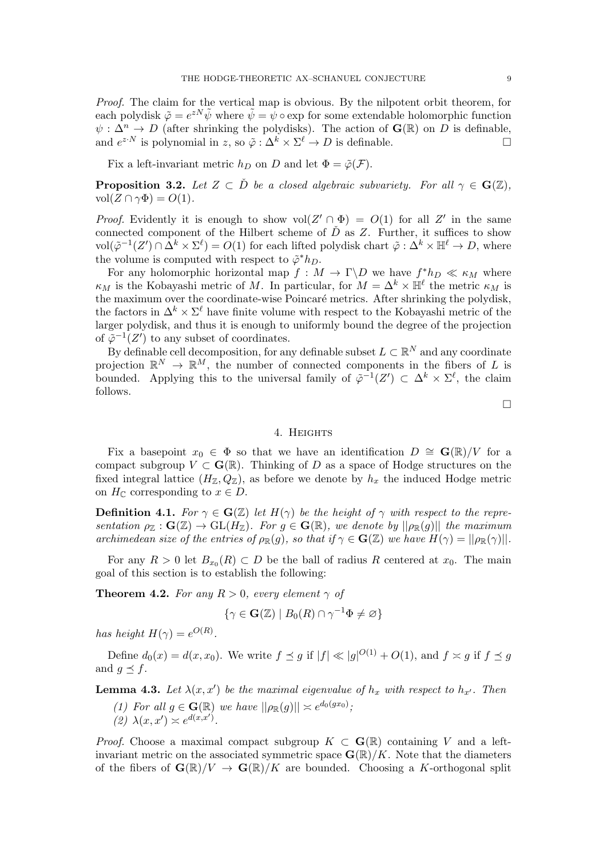Proof. The claim for the vertical map is obvious. By the nilpotent orbit theorem, for each polydisk  $\tilde{\varphi} = e^{zN} \tilde{\psi}$  where  $\tilde{\psi} = \psi \circ \exp$  for some extendable holomorphic function  $\psi : \Delta^n \to D$  (after shrinking the polydisks). The action of  $\mathbf{G}(\mathbb{R})$  on D is definable, and  $e^{z \cdot N}$  is polynomial in z, so  $\tilde{\varphi} : \Delta^k \times \Sigma^{\ell} \to D$  is definable.

Fix a left-invariant metric  $h_D$  on D and let  $\Phi = \tilde{\varphi}(\mathcal{F})$ .

<span id="page-8-3"></span>**Proposition 3.2.** Let  $Z \subset \check{D}$  be a closed algebraic subvariety. For all  $\gamma \in \mathbf{G}(\mathbb{Z})$ ,  $vol(Z \cap \gamma \Phi) = O(1).$ 

*Proof.* Evidently it is enough to show  $vol(Z' \cap \Phi) = O(1)$  for all Z' in the same connected component of the Hilbert scheme of  $\check{D}$  as Z. Further, it suffices to show  $vol(\tilde{\varphi}^{-1}(Z') \cap \tilde{\Delta}^k \times \Sigma^{\ell}) = O(1)$  for each lifted polydisk chart  $\tilde{\varphi} : \Delta^k \times \mathbb{H}^{\ell} \to D$ , where the volume is computed with respect to  $\tilde{\varphi}^* h_D$ .

For any holomorphic horizontal map  $f: M \to \Gamma \backslash D$  we have  $f^*h_D \ll \kappa_M$  where  $\kappa_M$  is the Kobayashi metric of M. In particular, for  $M = \Delta^k \times \mathbb{H}^{\ell}$  the metric  $\kappa_M$  is the maximum over the coordinate-wise Poincaré metrics. After shrinking the polydisk, the factors in  $\Delta^k \times \Sigma^{\ell}$  have finite volume with respect to the Kobayashi metric of the larger polydisk, and thus it is enough to uniformly bound the degree of the projection of  $\tilde{\varphi}^{-1}(Z')$  to any subset of coordinates.

By definable cell decomposition, for any definable subset  $L \subset \mathbb{R}^N$  and any coordinate projection  $\mathbb{R}^N \to \mathbb{R}^M$ , the number of connected components in the fibers of L is bounded. Applying this to the universal family of  $\tilde{\varphi}^{-1}(Z') \subset \Delta^k \times \Sigma^{\ell}$ , the claim follows.

 $\Box$ 

# 4. Heights

<span id="page-8-0"></span>Fix a basepoint  $x_0 \in \Phi$  so that we have an identification  $D \cong G(\mathbb{R})/V$  for a compact subgroup  $V \subset \mathbf{G}(\mathbb{R})$ . Thinking of D as a space of Hodge structures on the fixed integral lattice  $(H_{\mathbb{Z}}, Q_{\mathbb{Z}})$ , as before we denote by  $h_x$  the induced Hodge metric on  $H_{\mathbb{C}}$  corresponding to  $x \in D$ .

**Definition 4.1.** For  $\gamma \in \mathbf{G}(\mathbb{Z})$  let  $H(\gamma)$  be the height of  $\gamma$  with respect to the representation  $\rho_{\mathbb{Z}} : \mathbf{G}(\mathbb{Z}) \to \mathrm{GL}(H_{\mathbb{Z}})$ . For  $g \in \mathbf{G}(\mathbb{R})$ , we denote by  $||\rho_{\mathbb{R}}(g)||$  the maximum archimedean size of the entries of  $\rho_{\mathbb{R}}(g)$ , so that if  $\gamma \in \mathbf{G}(\mathbb{Z})$  we have  $H(\gamma) = ||\rho_{\mathbb{R}}(\gamma)||$ .

For any  $R > 0$  let  $B_{x_0}(R) \subset D$  be the ball of radius R centered at  $x_0$ . The main goal of this section is to establish the following:

<span id="page-8-2"></span>**Theorem 4.2.** For any  $R > 0$ , every element  $\gamma$  of

$$
\{\gamma \in \mathbf{G}(\mathbb{Z}) \mid B_0(R) \cap \gamma^{-1}\Phi \neq \varnothing\}
$$

has height  $H(\gamma) = e^{O(R)}$ .

Define  $d_0(x) = d(x, x_0)$ . We write  $f \preceq g$  if  $|f| \ll |g|^{O(1)} + O(1)$ , and  $f \asymp g$  if  $f \preceq g$ and  $q \preceq f$ .

<span id="page-8-1"></span>**Lemma 4.3.** Let  $\lambda(x, x')$  be the maximal eigenvalue of  $h_x$  with respect to  $h_{x'}$ . Then

(1) For all  $g \in \mathbf{G}(\mathbb{R})$  we have  $||\rho_{\mathbb{R}}(g)|| \asymp e^{d_0(gx_0)}$ ; (2)  $\lambda(x, x') \asymp e^{d(x, x')}$ .

*Proof.* Choose a maximal compact subgroup  $K \subset \mathbf{G}(\mathbb{R})$  containing V and a leftinvariant metric on the associated symmetric space  $\mathbf{G}(\mathbb{R})/K$ . Note that the diameters of the fibers of  $\mathbf{G}(\mathbb{R})/V \to \mathbf{G}(\mathbb{R})/K$  are bounded. Choosing a K-orthogonal split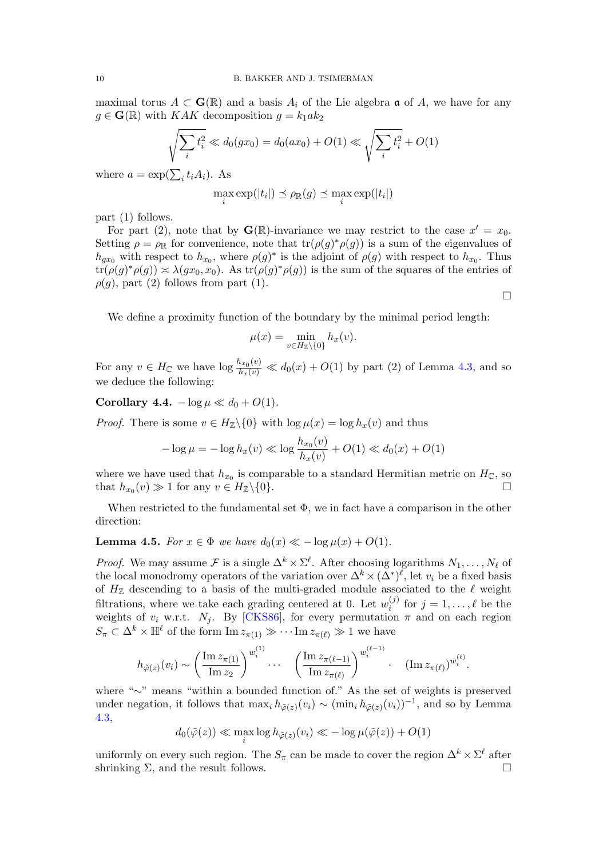maximal torus  $A \subset \mathbf{G}(\mathbb{R})$  and a basis  $A_i$  of the Lie algebra  $\mathfrak{a}$  of A, we have for any  $g \in \mathbf{G}(\mathbb{R})$  with KAK decomposition  $g = k_1 a k_2$ 

$$
\sqrt{\sum_{i} t_i^2} \ll d_0(gx_0) = d_0(ax_0) + O(1) \ll \sqrt{\sum_{i} t_i^2} + O(1)
$$

where  $a = \exp(\sum_i t_i A_i)$ . As

$$
\max_{i} \exp(|t_i|) \preceq \rho_{\mathbb{R}}(g) \preceq \max_{i} \exp(|t_i|)
$$

part (1) follows.

For part (2), note that by  $\mathbf{G}(\mathbb{R})$ -invariance we may restrict to the case  $x' = x_0$ . Setting  $\rho = \rho_{\mathbb{R}}$  for convenience, note that  $tr(\rho(g)^*\rho(g))$  is a sum of the eigenvalues of  $h_{gx_0}$  with respect to  $h_{x_0}$ , where  $\rho(g)^*$  is the adjoint of  $\rho(g)$  with respect to  $h_{x_0}$ . Thus  $tr(\rho(g)^*\rho(g)) \approx \lambda(gx_0, x_0)$ . As  $tr(\rho(g)^*\rho(g))$  is the sum of the squares of the entries of  $\rho(g)$ , part (2) follows from part (1).

We define a proximity function of the boundary by the minimal period length:

$$
\mu(x) = \min_{v \in H_{\mathbb{Z}} \setminus \{0\}} h_x(v).
$$

For any  $v \in H_{\mathbb{C}}$  we have  $\log \frac{h_{x_0}(v)}{h_x(v)} \ll d_0(x) + O(1)$  by part (2) of Lemma [4.3,](#page-8-1) and so we deduce the following:

<span id="page-9-1"></span>Corollary 4.4.  $-\log \mu \ll d_0 + O(1)$ .

*Proof.* There is some  $v \in H_{\mathbb{Z}}\backslash\{0\}$  with  $\log \mu(x) = \log h_x(v)$  and thus

$$
-\log \mu = -\log h_x(v) \ll \log \frac{h_{x_0}(v)}{h_x(v)} + O(1) \ll d_0(x) + O(1)
$$

where we have used that  $h_{x_0}$  is comparable to a standard Hermitian metric on  $H_{\mathbb{C}}$ , so that  $h_{x_0}(v) \gg 1$  for any  $v \in H_{\mathbb{Z}} \setminus \{0\}.$ 

When restricted to the fundamental set  $\Phi$ , we in fact have a comparison in the other direction:

# <span id="page-9-0"></span>**Lemma 4.5.** For  $x \in \Phi$  we have  $d_0(x) \ll -\log \mu(x) + O(1)$ .

*Proof.* We may assume F is a single  $\Delta^k \times \Sigma^{\ell}$ . After choosing logarithms  $N_1, \ldots, N_{\ell}$  of the local monodromy operators of the variation over  $\Delta^k \times (\Delta^*)^{\ell}$ , let  $v_i$  be a fixed basis of  $H_{\mathbb{Z}}$  descending to a basis of the multi-graded module associated to the  $\ell$  weight filtrations, where we take each grading centered at 0. Let  $w_i^{(j)}$  $i^{(j)}$  for  $j = 1, \ldots, \ell$  be the weights of  $v_i$  w.r.t.  $N_i$ . By [\[CKS86\]](#page-12-11), for every permutation  $\pi$  and on each region  $S_{\pi} \subset \Delta^k \times \mathbb{H}^{\ell}$  of the form  $\text{Im } z_{\pi(1)} \gg \cdots \text{Im } z_{\pi(\ell)} \gg 1$  we have

$$
h_{\tilde{\varphi}(z)}(v_i) \sim \left(\frac{\operatorname{Im} z_{\pi(1)}}{\operatorname{Im} z_2}\right)^{w_i^{(1)}} \cdots \quad \left(\frac{\operatorname{Im} z_{\pi(\ell-1)}}{\operatorname{Im} z_{\pi(\ell)}}\right)^{w_i^{(\ell-1)}} \cdot \quad (\operatorname{Im} z_{\pi(\ell)})^{w_i^{(\ell)}}.
$$

where "∼" means "within a bounded function of." As the set of weights is preserved under negation, it follows that  $\max_i h_{\tilde{\varphi}(z)}(v_i) \sim (\min_i h_{\tilde{\varphi}(z)}(v_i))^{-1}$ , and so by Lemma [4.3,](#page-8-1)

$$
d_0(\tilde{\varphi}(z)) \ll \max_i \log h_{\tilde{\varphi}(z)}(v_i) \ll -\log \mu(\tilde{\varphi}(z)) + O(1)
$$

uniformly on every such region. The  $S_{\pi}$  can be made to cover the region  $\Delta^{k} \times \Sigma^{\ell}$  after shrinking  $\Sigma$ , and the result follows.

 $\Box$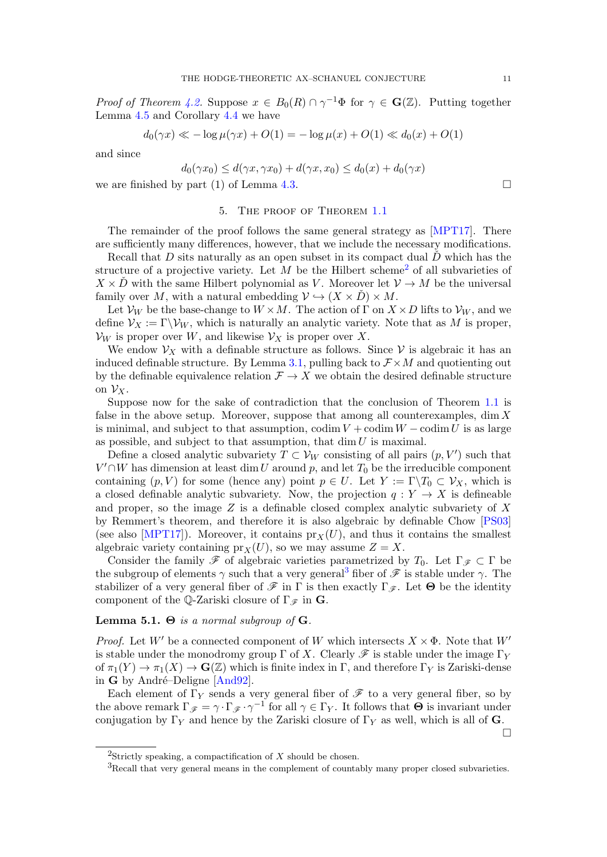*Proof of Theorem [4.2.](#page-8-2)* Suppose  $x \in B_0(R) \cap \gamma^{-1}\Phi$  for  $\gamma \in \mathbf{G}(\mathbb{Z})$ . Putting together Lemma [4.5](#page-9-0) and Corollary [4.4](#page-9-1) we have

$$
d_0(\gamma x) \ll -\log \mu(\gamma x) + O(1) = -\log \mu(x) + O(1) \ll d_0(x) + O(1)
$$

and since

$$
d_0(\gamma x_0) \le d(\gamma x, \gamma x_0) + d(\gamma x, x_0) \le d_0(x) + d_0(\gamma x)
$$

we are finished by part (1) of Lemma [4.3.](#page-8-1)

### 5. The proof of Theorem [1.1](#page-1-0)

<span id="page-10-0"></span>The remainder of the proof follows the same general strategy as [\[MPT17\]](#page-12-3). There are sufficiently many differences, however, that we include the necessary modifications.

Recall that D sits naturally as an open subset in its compact dual  $\check{D}$  which has the structure of a projective variety. Let  $M$  be the Hilbert scheme<sup>[2](#page-10-1)</sup> of all subvarieties of  $X \times \tilde{D}$  with the same Hilbert polynomial as V. Moreover let  $V \to M$  be the universal family over M, with a natural embedding  $\mathcal{V} \hookrightarrow (X \times \mathcal{D}) \times M$ .

Let  $\mathcal{V}_W$  be the base-change to  $W \times M$ . The action of  $\Gamma$  on  $X \times D$  lifts to  $\mathcal{V}_W$ , and we define  $\mathcal{V}_X := \Gamma \backslash \mathcal{V}_W$ , which is naturally an analytic variety. Note that as M is proper,  $\mathcal{V}_W$  is proper over W, and likewise  $\mathcal{V}_X$  is proper over X.

We endow  $V_X$  with a definable structure as follows. Since V is algebraic it has an induced definable structure. By Lemma [3.1,](#page-7-4) pulling back to  $\mathcal{F} \times M$  and quotienting out by the definable equivalence relation  $\mathcal{F} \to X$  we obtain the desired definable structure on  $\mathcal{V}_X$ .

Suppose now for the sake of contradiction that the conclusion of Theorem [1.1](#page-1-0) is false in the above setup. Moreover, suppose that among all counterexamples,  $\dim X$ is minimal, and subject to that assumption,  $\text{codim } V + \text{codim } W - \text{codim } U$  is as large as possible, and subject to that assumption, that  $\dim U$  is maximal.

Define a closed analytic subvariety  $T \subset V_W$  consisting of all pairs  $(p, V')$  such that  $V' \cap W$  has dimension at least dim U around p, and let  $T_0$  be the irreducible component containing  $(p, V)$  for some (hence any) point  $p \in U$ . Let  $Y := \Gamma \backslash T_0 \subset \mathcal{V}_X$ , which is a closed definable analytic subvariety. Now, the projection  $q: Y \to X$  is defineable and proper, so the image  $Z$  is a definable closed complex analytic subvariety of  $X$ by Remmert's theorem, and therefore it is also algebraic by definable Chow [\[PS03\]](#page-12-12) (see also [\[MPT17\]](#page-12-3)). Moreover, it contains  $pr_X(U)$ , and thus it contains the smallest algebraic variety containing  $pr_X(U)$ , so we may assume  $Z = X$ .

Consider the family  $\mathscr F$  of algebraic varieties parametrized by  $T_0$ . Let  $\Gamma_{\mathscr F} \subset \Gamma$  be the subgroup of elements  $\gamma$  such that a very general<sup>[3](#page-10-2)</sup> fiber of  $\mathscr F$  is stable under  $\gamma$ . The stabilizer of a very general fiber of  $\mathscr F$  in  $\Gamma$  is then exactly  $\Gamma_{\mathscr F}$ . Let  $\Theta$  be the identity component of the Q-Zariski closure of  $\Gamma_{\mathscr{F}}$  in G.

# Lemma 5.1.  $\Theta$  is a normal subgroup of G.

*Proof.* Let W' be a connected component of W which intersects  $X \times \Phi$ . Note that W' is stable under the monodromy group  $\Gamma$  of X. Clearly  $\mathscr F$  is stable under the image  $\Gamma_Y$ of  $\pi_1(Y) \to \pi_1(X) \to \mathbf{G}(\mathbb{Z})$  which is finite index in  $\Gamma$ , and therefore  $\Gamma_Y$  is Zariski-dense in G by André-Deligne  $[And92]$ .

Each element of  $\Gamma_Y$  sends a very general fiber of  $\mathscr F$  to a very general fiber, so by the above remark  $\Gamma_{\mathscr{F}} = \gamma \cdot \Gamma_{\mathscr{F}} \cdot \gamma^{-1}$  for all  $\gamma \in \Gamma_Y$ . It follows that  $\Theta$  is invariant under conjugation by  $\Gamma_Y$  and hence by the Zariski closure of  $\Gamma_Y$  as well, which is all of G.

 $\Box$ 

<span id="page-10-1"></span><sup>&</sup>lt;sup>2</sup>Strictly speaking, a compactification of X should be chosen.

<span id="page-10-2"></span> ${}^{3}$ Recall that very general means in the complement of countably many proper closed subvarieties.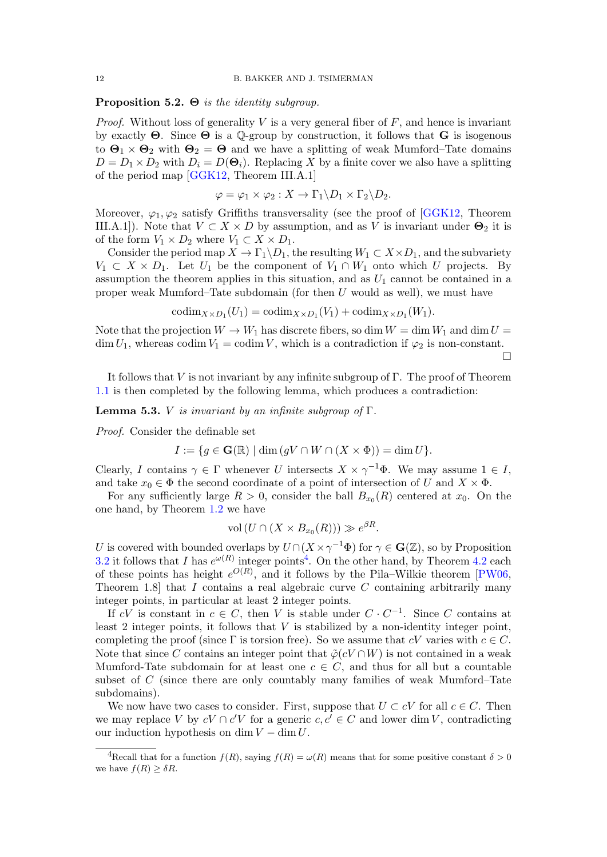## **Proposition 5.2.**  $\Theta$  *is the identity subgroup.*

*Proof.* Without loss of generality V is a very general fiber of  $F$ , and hence is invariant by exactly  $\Theta$ . Since  $\Theta$  is a Q-group by construction, it follows that  $\bf{G}$  is isogenous to  $\Theta_1 \times \Theta_2$  with  $\Theta_2 = \Theta$  and we have a splitting of weak Mumford–Tate domains  $D = D_1 \times D_2$  with  $D_i = D(\Theta_i)$ . Replacing X by a finite cover we also have a splitting of the period map [\[GGK12,](#page-12-14) Theorem III.A.1]

$$
\varphi = \varphi_1 \times \varphi_2 : X \to \Gamma_1 \backslash D_1 \times \Gamma_2 \backslash D_2.
$$

Moreover,  $\varphi_1, \varphi_2$  satisfy Griffiths transversality (see the proof of [\[GGK12,](#page-12-14) Theorem III.A.1]). Note that  $V \subset X \times D$  by assumption, and as V is invariant under  $\Theta_2$  it is of the form  $V_1 \times D_2$  where  $V_1 \subset X \times D_1$ .

Consider the period map  $X \to \Gamma_1 \backslash D_1$ , the resulting  $W_1 \subset X \times D_1$ , and the subvariety  $V_1 \subset X \times D_1$ . Let  $U_1$  be the component of  $V_1 \cap W_1$  onto which U projects. By assumption the theorem applies in this situation, and as  $U_1$  cannot be contained in a proper weak Mumford–Tate subdomain (for then U would as well), we must have

$$
\mathrm{codim}_{X \times D_1}(U_1) = \mathrm{codim}_{X \times D_1}(V_1) + \mathrm{codim}_{X \times D_1}(W_1).
$$

Note that the projection  $W \to W_1$  has discrete fibers, so dim  $W = \dim W_1$  and  $\dim U =$  $\dim U_1$ , whereas codim  $V_1 = \text{codim } V$ , which is a contradiction if  $\varphi_2$  is non-constant.

 $\Box$ 

It follows that V is not invariant by any infinite subgroup of  $\Gamma$ . The proof of Theorem [1.1](#page-1-0) is then completed by the following lemma, which produces a contradiction:

**Lemma 5.3.** *V* is invariant by an infinite subgroup of  $\Gamma$ .

Proof. Consider the definable set

$$
I := \{ g \in \mathbf{G}(\mathbb{R}) \mid \dim \left( gV \cap W \cap (X \times \Phi) \right) = \dim U \}.
$$

Clearly, I contains  $\gamma \in \Gamma$  whenever U intersects  $X \times \gamma^{-1} \Phi$ . We may assume  $1 \in I$ , and take  $x_0 \in \Phi$  the second coordinate of a point of intersection of U and  $X \times \Phi$ .

For any sufficiently large  $R > 0$ , consider the ball  $B_{x_0}(R)$  centered at  $x_0$ . On the one hand, by Theorem [1.2](#page-1-2) we have

$$
\text{vol}(U \cap (X \times B_{x_0}(R))) \gg e^{\beta R}.
$$

U is covered with bounded overlaps by  $U \cap (X \times \gamma^{-1} \Phi)$  for  $\gamma \in \mathbf{G}(\mathbb{Z})$ , so by Proposition [3.2](#page-8-3) it follows that I has  $e^{\omega(R)}$  integer points<sup>[4](#page-11-0)</sup>. On the other hand, by Theorem [4.2](#page-8-2) each of these points has height  $e^{O(R)}$ , and it follows by the Pila–Wilkie theorem [\[PW06,](#page-12-15) Theorem 1.8] that  $I$  contains a real algebraic curve  $C$  containing arbitrarily many integer points, in particular at least 2 integer points.

If cV is constant in  $c \in C$ , then V is stable under  $C \cdot C^{-1}$ . Since C contains at least  $2$  integer points, it follows that  $V$  is stabilized by a non-identity integer point, completing the proof (since  $\Gamma$  is torsion free). So we assume that  $cV$  varies with  $c \in C$ . Note that since C contains an integer point that  $\tilde{\varphi}(cV \cap W)$  is not contained in a weak Mumford-Tate subdomain for at least one  $c \in C$ , and thus for all but a countable subset of C (since there are only countably many families of weak Mumford–Tate subdomains).

We now have two cases to consider. First, suppose that  $U \subset cV$  for all  $c \in C$ . Then we may replace V by  $cV \cap c'V$  for a generic  $c, c' \in C$  and lower dim V, contradicting our induction hypothesis on dim  $V - \dim U$ .

<span id="page-11-0"></span><sup>&</sup>lt;sup>4</sup>Recall that for a function  $f(R)$ , saying  $f(R) = \omega(R)$  means that for some positive constant  $\delta > 0$ we have  $f(R) \geq \delta R$ .